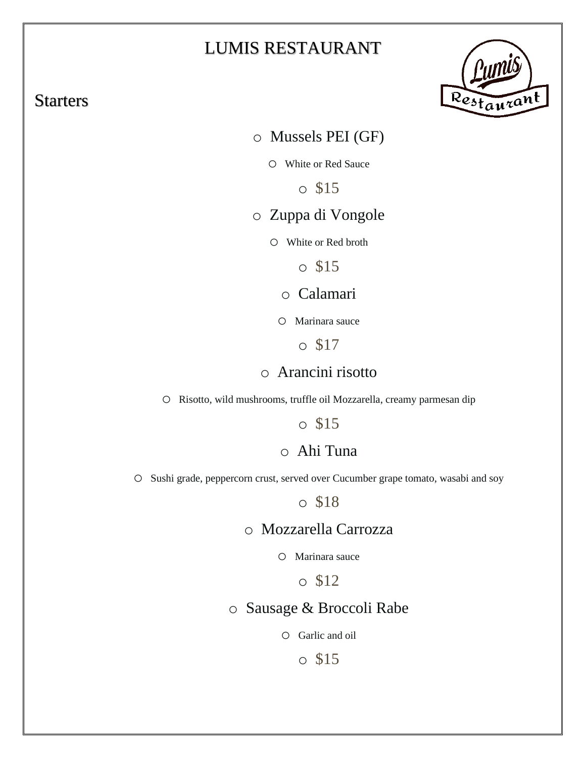# LUMIS RESTAURANT

## **Starters**



o Mussels PEI (GF)

o White or Red Sauce

o \$15

## o Zuppa di Vongole

o White or Red broth

o \$15

o Calamari

o Marinara sauce

o \$17

## o Arancini risotto

o Risotto, wild mushrooms, truffle oil Mozzarella, creamy parmesan dip

o \$15

## o Ahi Tuna

o Sushi grade, peppercorn crust, served over Cucumber grape tomato, wasabi and soy

o \$18

## o Mozzarella Carrozza

o Marinara sauce

o \$12

# o Sausage & Broccoli Rabe

o Garlic and oil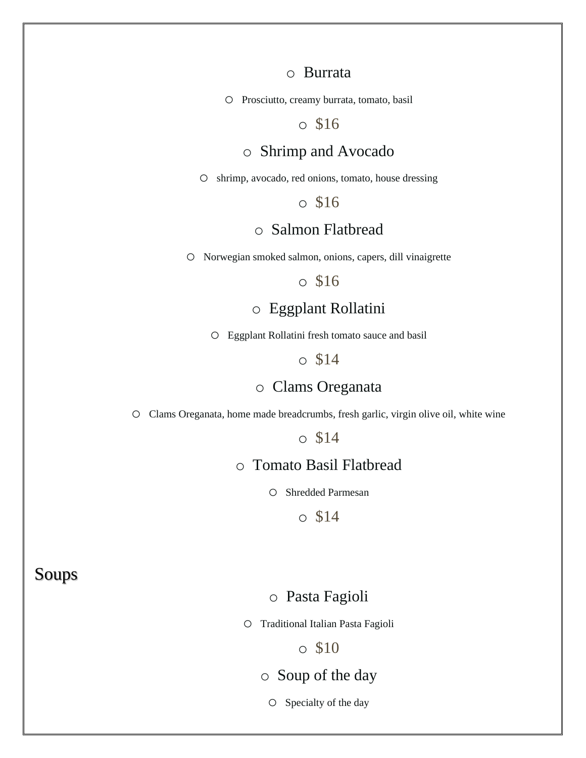#### o Burrata

o Prosciutto, creamy burrata, tomato, basil

o \$16

#### o Shrimp and Avocado

o shrimp, avocado, red onions, tomato, house dressing

o \$16

## o Salmon Flatbread

o Norwegian smoked salmon, onions, capers, dill vinaigrette

#### o \$16

## o Eggplant Rollatini

o Eggplant Rollatini fresh tomato sauce and basil

#### o \$14

### o Clams Oreganata

o Clams Oreganata, home made breadcrumbs, fresh garlic, virgin olive oil, white wine

o \$14

## o Tomato Basil Flatbread

o Shredded Parmesan

o \$14

### Soups

### o Pasta Fagioli

o Traditional Italian Pasta Fagioli

o \$10

### o Soup of the day

o Specialty of the day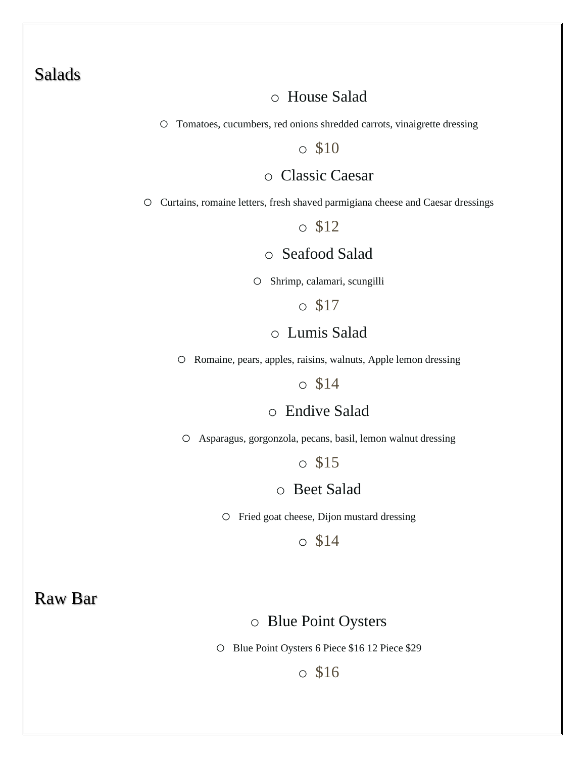## Salads

## o House Salad

o Tomatoes, cucumbers, red onions shredded carrots, vinaigrette dressing

#### o \$10

## o Classic Caesar

o Curtains, romaine letters, fresh shaved parmigiana cheese and Caesar dressings

#### o \$12

## o Seafood Salad

o Shrimp, calamari, scungilli

o \$17

## o Lumis Salad

o Romaine, pears, apples, raisins, walnuts, Apple lemon dressing

#### o \$14

#### o Endive Salad

o Asparagus, gorgonzola, pecans, basil, lemon walnut dressing

### o \$15

### o Beet Salad

o Fried goat cheese, Dijon mustard dressing

o \$14

## Raw Bar

### o Blue Point Oysters

o Blue Point Oysters 6 Piece \$16 12 Piece \$29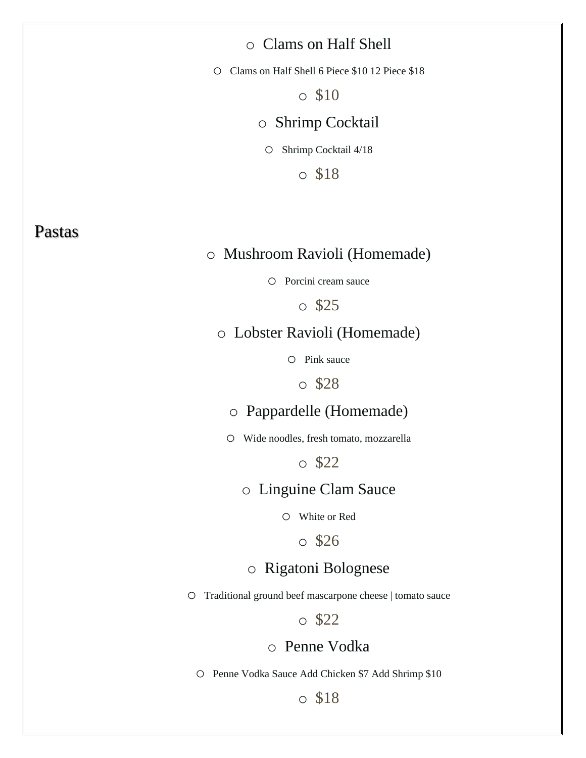## o Clams on Half Shell

o Clams on Half Shell 6 Piece \$10 12 Piece \$18

 $\circ$  \$10

### o Shrimp Cocktail

o Shrimp Cocktail 4/18

o \$18

## Pastas

## o Mushroom Ravioli (Homemade)

o Porcini cream sauce

o \$25

#### o Lobster Ravioli (Homemade)

o Pink sauce

o \$28

## o Pappardelle (Homemade)

o Wide noodles, fresh tomato, mozzarella

o \$22

#### o Linguine Clam Sauce

o White or Red

o \$26

### o Rigatoni Bolognese

o Traditional ground beef mascarpone cheese | tomato sauce

## o \$22

## o Penne Vodka

o Penne Vodka Sauce Add Chicken \$7 Add Shrimp \$10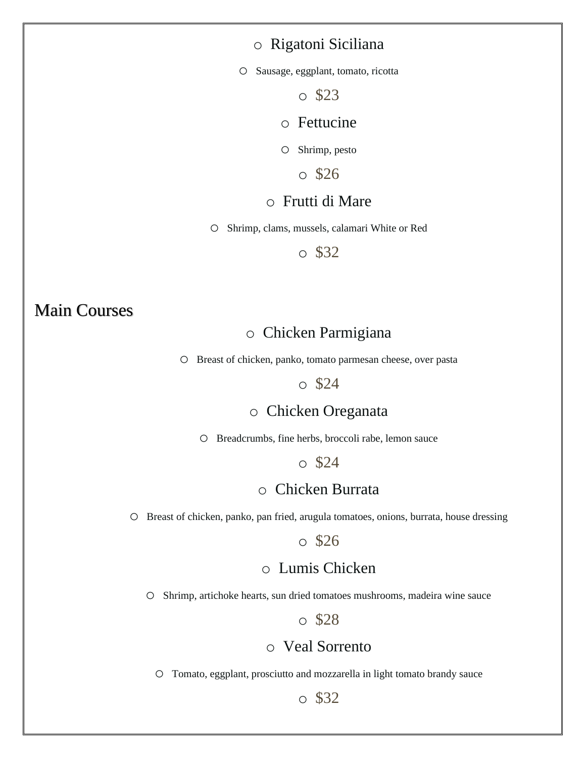### o Rigatoni Siciliana

o Sausage, eggplant, tomato, ricotta

o \$23

#### o Fettucine

o Shrimp, pesto

o \$26

#### o Frutti di Mare

o Shrimp, clams, mussels, calamari White or Red

o \$32

# Main Courses

### o Chicken Parmigiana

o Breast of chicken, panko, tomato parmesan cheese, over pasta

#### o \$24

#### o Chicken Oreganata

o Breadcrumbs, fine herbs, broccoli rabe, lemon sauce

#### o \$24

#### o Chicken Burrata

o Breast of chicken, panko, pan fried, arugula tomatoes, onions, burrata, house dressing

#### o \$26

## o Lumis Chicken

o Shrimp, artichoke hearts, sun dried tomatoes mushrooms, madeira wine sauce

#### o \$28

## o Veal Sorrento

o Tomato, eggplant, prosciutto and mozzarella in light tomato brandy sauce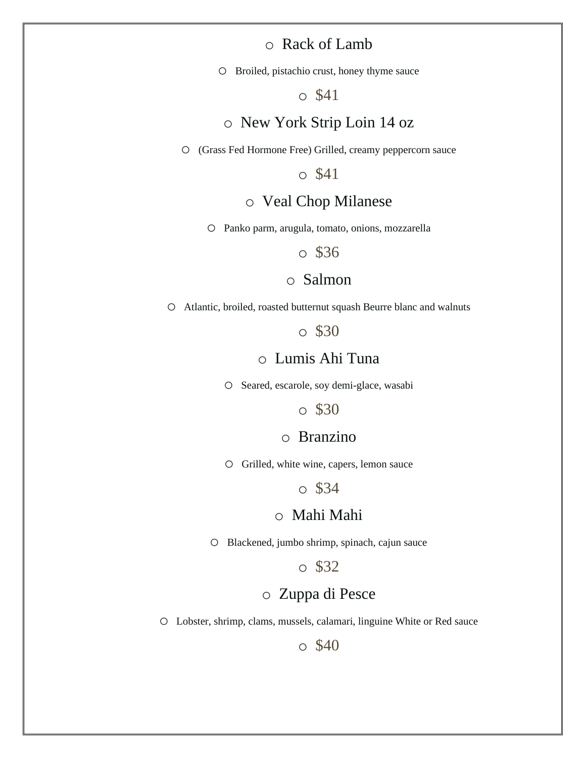### o Rack of Lamb

o Broiled, pistachio crust, honey thyme sauce

#### o \$41

## o New York Strip Loin 14 oz

o (Grass Fed Hormone Free) Grilled, creamy peppercorn sauce

o \$41

#### o Veal Chop Milanese

o Panko parm, arugula, tomato, onions, mozzarella

o \$36

#### o Salmon

o Atlantic, broiled, roasted butternut squash Beurre blanc and walnuts

o \$30

#### o Lumis Ahi Tuna

o Seared, escarole, soy demi-glace, wasabi

o \$30

### o Branzino

o Grilled, white wine, capers, lemon sauce

o \$34

#### o Mahi Mahi

o Blackened, jumbo shrimp, spinach, cajun sauce

o \$32

## o Zuppa di Pesce

o Lobster, shrimp, clams, mussels, calamari, linguine White or Red sauce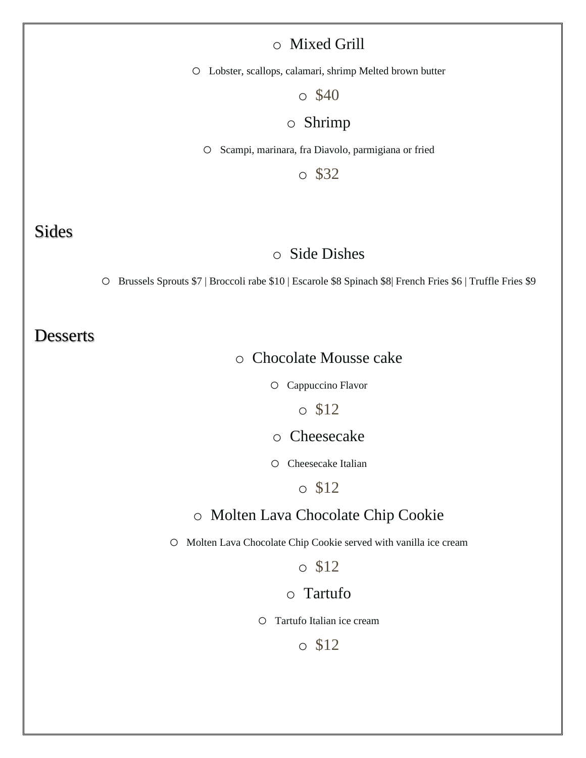## o Mixed Grill

o Lobster, scallops, calamari, shrimp Melted brown butter

o \$40

## o Shrimp

o Scampi, marinara, fra Diavolo, parmigiana or fried

o \$32

## Sides

#### o Side Dishes

o Brussels Sprouts \$7 | Broccoli rabe \$10 | Escarole \$8 Spinach \$8| French Fries \$6 | Truffle Fries \$9

## **Desserts**

### o Chocolate Mousse cake

o Cappuccino Flavor

o \$12

o Cheesecake

o Cheesecake Italian

o \$12

#### o Molten Lava Chocolate Chip Cookie

o Molten Lava Chocolate Chip Cookie served with vanilla ice cream

o \$12

#### o Tartufo

o Tartufo Italian ice cream